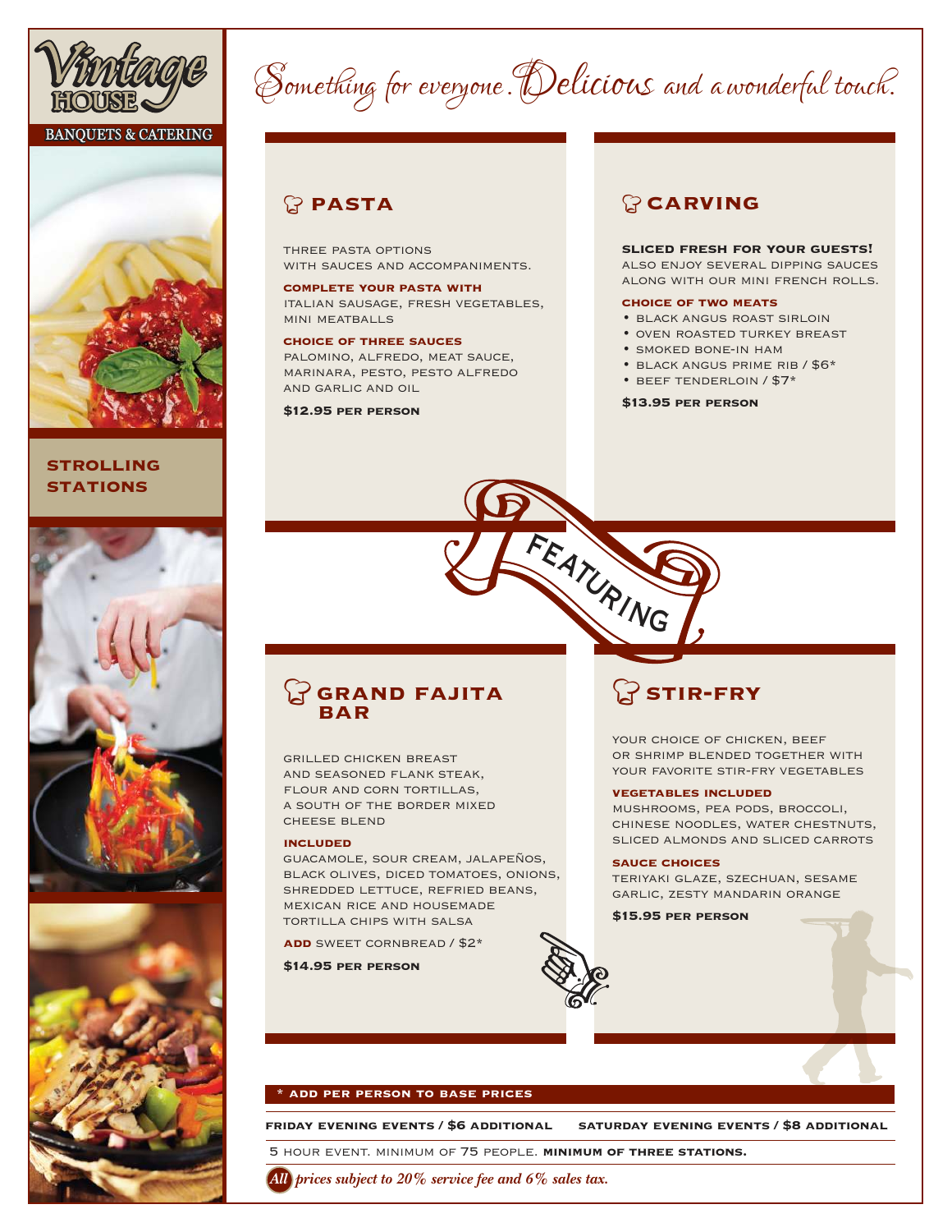

#### **BANQUETS & CATERING**



#### **strolling STATIONS**





# Something for everyone. Delicious and a wonderful touch.

### <sup>a</sup> **pasta**

three pasta options with sauces and accompaniments.

**complete your pasta with** italian sausage, fresh vegetables, mini meatballs

**choice of three sauces** palomino, alfredo, meat sauce, marinara, pesto, pesto alfredo and garlic and oil

#### **\$12.95 per person**

### <sup>a</sup>**carving**

#### **sliced fresh for your guests!**

also enjoy several dipping sauces along with our mini french rolls.

#### **choice of two meats**

- black angus roast sirloin
- oven roasted turkey breast
- smoked bone-in ham
- black angus prime rib / \$6\*
- beef tenderloin / \$7\*

**\$13.95 per person**

### a**grand fajita bar**

grilled chicken breast and seasoned flank steak, flour and corn tortillas, a south of the border mixed cheese blend

#### **included**

guacamole, sour cream, jalapeños, black olives, diced tomatoes, onions, shredded lettuce, refried beans, mexican rice and housemade tortilla chips with salsa

**add** sweet cornbread / \$2\*

**\$14.95 per person**

## a**stir-fry**

YOUR CHOICE OF CHICKEN, BEEF or shrimp blended together with YOUR FAVORITE STIR-FRY VEGETABLES

#### **vegetables included**

mushrooms, pea pods, broccoli, chinese noodles, water chestnuts, sliced almonds and sliced carrots

#### **sauce choices**

teriyaki glaze, szechuan, sesame garlic, zesty mandarin orange

**\$15.95 per person**



FEATURING

#### **\* add per person to base prices**

**friday evening events / \$6 additional saturday evening events / \$8 additional**

5 hour event. minimum of 75 people. **minimum of three stations.**

*All prices subject to 20% service fee and 6% sales tax.*